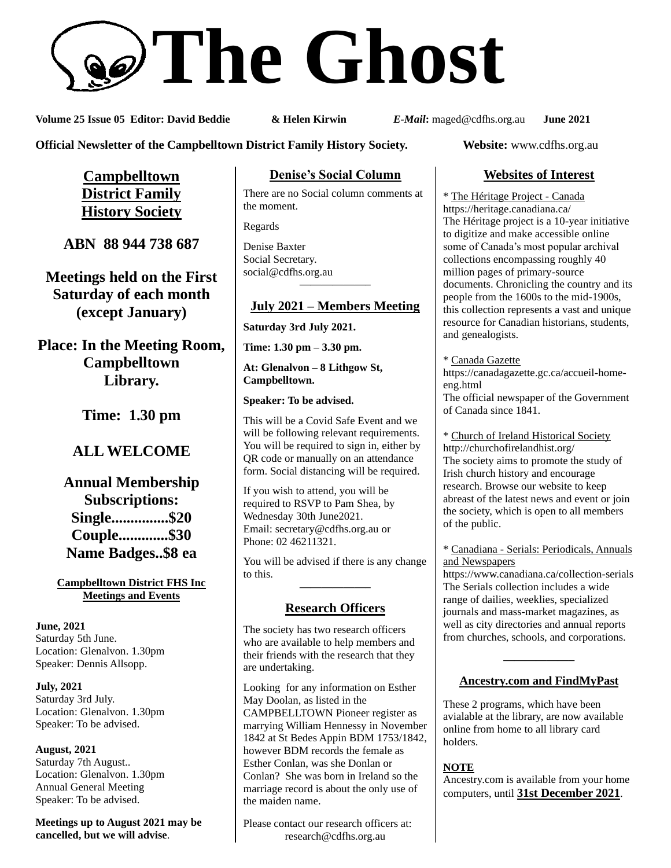# **The Ghost**

**Volume 25 Issue 05 Editor: David Beddie & Helen Kirwin** *E-Mail***:** maged@cdfhs.org.au **June 2021**

**Official Newsletter of the Campbelltown District Family History Society. Website:** www.cdfhs.org.au

**Campbelltown District Family History Society**

**ABN 88 944 738 687**

**Meetings held on the First Saturday of each month (except January)**

**Place: In the Meeting Room, Campbelltown Library.**

**Time: 1.30 pm**

# **ALL WELCOME**

**Annual Membership Subscriptions: Single...............\$20 Couple.............\$30 Name Badges..\$8 ea**

**Campbelltown District FHS Inc Meetings and Events**

**June, 2021** Saturday 5th June. Location: Glenalvon. 1.30pm Speaker: Dennis Allsopp.

**July, 2021** Saturday 3rd July. Location: Glenalvon. 1.30pm Speaker: To be advised.

**August, 2021** Saturday 7th August.. Location: Glenalvon. 1.30pm Annual General Meeting Speaker: To be advised.

**Meetings up to August 2021 may be cancelled, but we will advise**.

## **Denise's Social Column**

There are no Social column comments at the moment.

Regards

Denise Baxter Social Secretary. [social@cdfhs.org.au](mailto:social@cdfhs.org.au) **——————–**

# **July 2021 – Members Meeting**

**Saturday 3rd July 2021.**

**Time: 1.30 pm – 3.30 pm.**

**At: Glenalvon – 8 Lithgow St, Campbelltown.**

**Speaker: To be advised.**

This will be a Covid Safe Event and we will be following relevant requirements. You will be required to sign in, either by QR code or manually on an attendance form. Social distancing will be required.

If you wish to attend, you will be required to RSVP to Pam Shea, by Wednesday 30th June2021. Email: [secretary@cdfhs.org.au](mailto:secretary@cdfhs.org.au) or Phone: 02 46211321.

You will be advised if there is any change to this. **——————–**

# **Research Officers**

The society has two research officers who are available to help members and their friends with the research that they are undertaking.

Looking for any information on Esther May Doolan, as listed in the CAMPBELLTOWN Pioneer register as marrying William Hennessy in November 1842 at St Bedes Appin BDM 1753/1842, however BDM records the female as Esther Conlan, was she Donlan or Conlan? She was born in Ireland so the marriage record is about the only use of the maiden name.

Please contact our research officers at: research@cdfhs.org.au

# **Websites of Interest**

\* The Héritage Project - Canada https://heritage.canadiana.ca/ The Héritage project is a 10-year initiative to digitize and make accessible online some of Canada's most popular archival collections encompassing roughly 40 million pages of primary-source documents. Chronicling the country and its people from the 1600s to the mid-1900s, this collection represents a vast and unique resource for Canadian historians, students, and genealogists.

\* Canada Gazette

https://canadagazette.gc.ca/accueil-homeeng.html The official newspaper of the Government of Canada since 1841.

\* Church of Ireland Historical Society http://churchofirelandhist.org/ The society aims to promote the study of Irish church history and encourage research. Browse our website to keep abreast of the latest news and event or join the society, which is open to all members of the public.

\* Canadiana - Serials: Periodicals, Annuals and Newspapers

https://www.canadiana.ca/collection-serials The Serials collection includes a wide range of dailies, weeklies, specialized journals and mass-market magazines, as well as city directories and annual reports from churches, schools, and corporations.

# **——————– Ancestry.com and FindMyPast**

These 2 programs, which have been avialable at the library, are now available online from home to all library card holders.

## **NOTE**

Ancestry.com is available from your home computers, until **31st December 2021**.